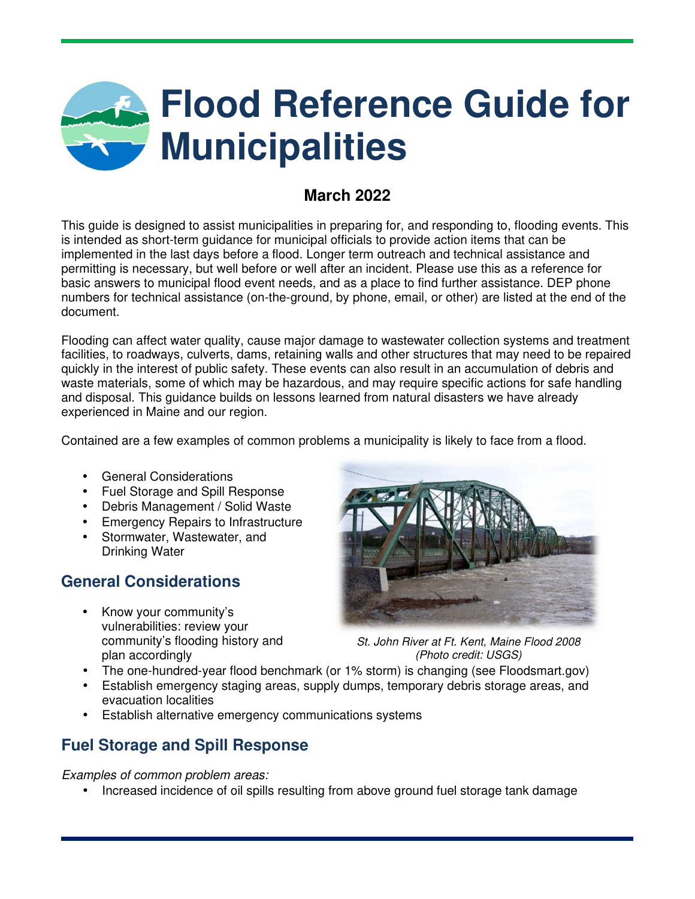# **Flood Reference Guide for Municipalities**

## **March 2022**

This guide is designed to assist municipalities in preparing for, and responding to, flooding events. This is intended as short-term guidance for municipal officials to provide action items that can be implemented in the last days before a flood. Longer term outreach and technical assistance and permitting is necessary, but well before or well after an incident. Please use this as a reference for basic answers to municipal flood event needs, and as a place to find further assistance. DEP phone numbers for technical assistance (on-the-ground, by phone, email, or other) are listed at the end of the document.

Flooding can affect water quality, cause major damage to wastewater collection systems and treatment facilities, to roadways, culverts, dams, retaining walls and other structures that may need to be repaired quickly in the interest of public safety. These events can also result in an accumulation of debris and waste materials, some of which may be hazardous, and may require specific actions for safe handling and disposal. This guidance builds on lessons learned from natural disasters we have already experienced in Maine and our region.

Contained are a few examples of common problems a municipality is likely to face from a flood.

- General Considerations
- Fuel Storage and Spill Response
- Debris Management / Solid Waste
- Emergency Repairs to Infrastructure
- Stormwater, Wastewater, and Drinking Water

## **General Considerations**

• Know your community's vulnerabilities: review your community's flooding history and plan accordingly



*St. John River at Ft. Kent, Maine Flood 2008 (Photo credit: USGS)*

- The one-hundred-year flood benchmark (or 1% storm) is changing (see Floodsmart.gov)
- Establish emergency staging areas, supply dumps, temporary debris storage areas, and evacuation localities
- Establish alternative emergency communications systems

## **Fuel Storage and Spill Response**

*Examples of common problem areas:* 

• Increased incidence of oil spills resulting from above ground fuel storage tank damage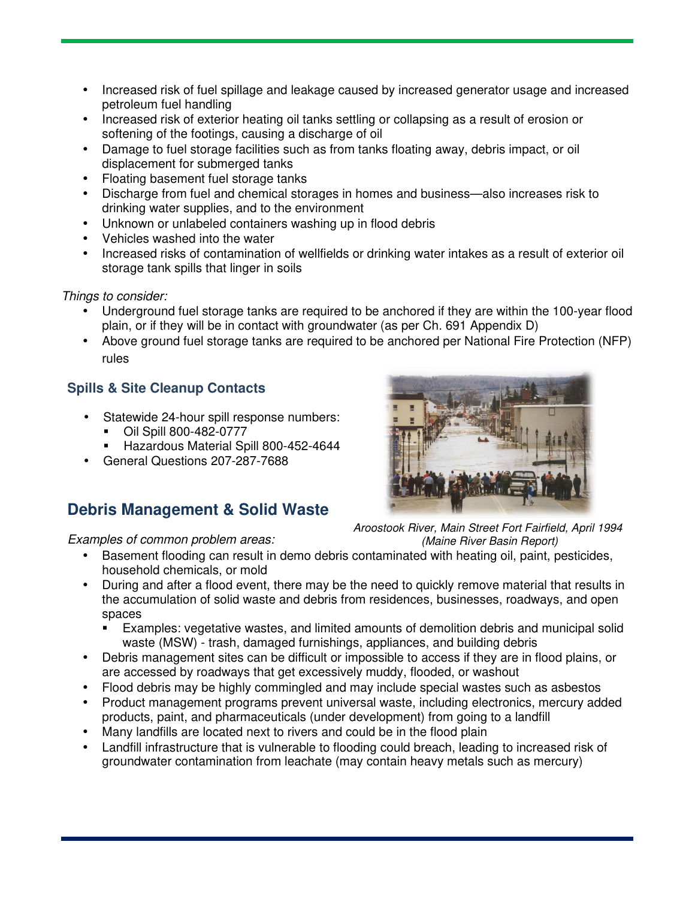- Increased risk of fuel spillage and leakage caused by increased generator usage and increased petroleum fuel handling
- Increased risk of exterior heating oil tanks settling or collapsing as a result of erosion or softening of the footings, causing a discharge of oil
- Damage to fuel storage facilities such as from tanks floating away, debris impact, or oil displacement for submerged tanks
- Floating basement fuel storage tanks
- Discharge from fuel and chemical storages in homes and business—also increases risk to drinking water supplies, and to the environment
- Unknown or unlabeled containers washing up in flood debris
- Vehicles washed into the water
- Increased risks of contamination of wellfields or drinking water intakes as a result of exterior oil storage tank spills that linger in soils

#### *Things to consider:*

- Underground fuel storage tanks are required to be anchored if they are within the 100-year flood plain, or if they will be in contact with groundwater (as per Ch. 691 Appendix D)
- Above ground fuel storage tanks are required to be anchored per National Fire Protection (NFP) rules

## **Spills & Site Cleanup Contacts**

- Statewide 24-hour spill response numbers:
	- Oil Spill 800-482-0777
	- Hazardous Material Spill 800-452-4644
- General Questions 207-287-7688

# **Debris Management & Solid Waste**

*Aroostook River, Main Street Fort Fairfield, April 1994 (Maine River Basin Report)*

### *Examples of common problem areas:*

- Basement flooding can result in demo debris contaminated with heating oil, paint, pesticides, household chemicals, or mold
- During and after a flood event, there may be the need to quickly remove material that results in the accumulation of solid waste and debris from residences, businesses, roadways, and open spaces
	- Examples: vegetative wastes, and limited amounts of demolition debris and municipal solid waste (MSW) - trash, damaged furnishings, appliances, and building debris
- Debris management sites can be difficult or impossible to access if they are in flood plains, or are accessed by roadways that get excessively muddy, flooded, or washout
- Flood debris may be highly commingled and may include special wastes such as asbestos
- Product management programs prevent universal waste, including electronics, mercury added products, paint, and pharmaceuticals (under development) from going to a landfill
- Many landfills are located next to rivers and could be in the flood plain
- Landfill infrastructure that is vulnerable to flooding could breach, leading to increased risk of groundwater contamination from leachate (may contain heavy metals such as mercury)

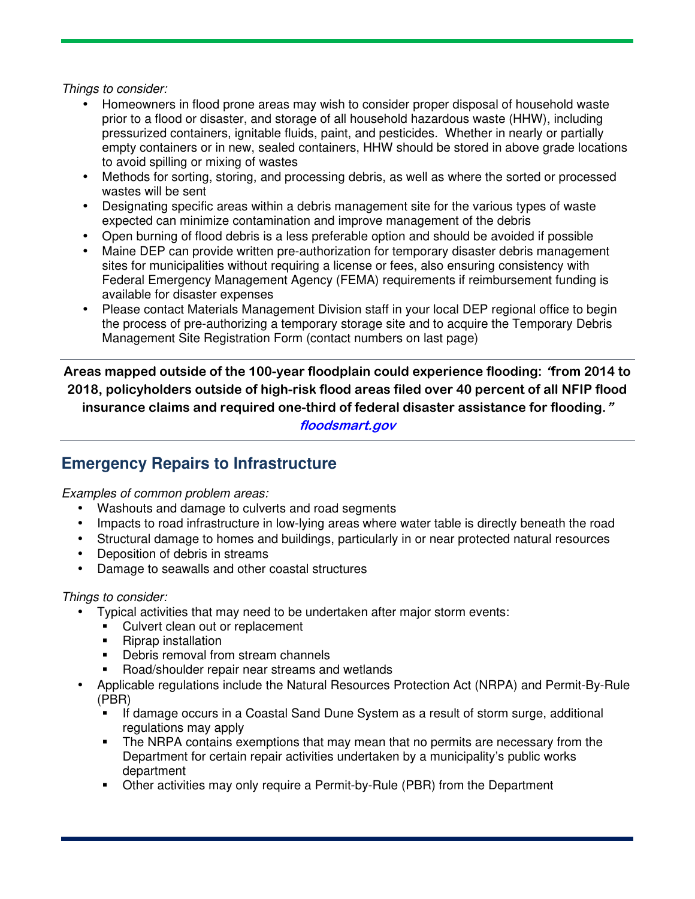*Things to consider:* 

- Homeowners in flood prone areas may wish to consider proper disposal of household waste prior to a flood or disaster, and storage of all household hazardous waste (HHW), including pressurized containers, ignitable fluids, paint, and pesticides. Whether in nearly or partially empty containers or in new, sealed containers, HHW should be stored in above grade locations to avoid spilling or mixing of wastes
- Methods for sorting, storing, and processing debris, as well as where the sorted or processed wastes will be sent
- Designating specific areas within a debris management site for the various types of waste expected can minimize contamination and improve management of the debris
- Open burning of flood debris is a less preferable option and should be avoided if possible
- Maine DEP can provide written pre-authorization for temporary disaster debris management sites for municipalities without requiring a license or fees, also ensuring consistency with Federal Emergency Management Agency (FEMA) requirements if reimbursement funding is available for disaster expenses
- Please contact Materials Management Division staff in your local DEP regional office to begin the process of pre-authorizing a temporary storage site and to acquire the Temporary Debris Management Site Registration Form (contact numbers on last page)

**Areas mapped outside of the 100-year floodplain could experience flooding: "from 2014 to 2018, policyholders outside of high-risk flood areas filed over 40 percent of all NFIP flood insurance claims and required one-third of federal disaster assistance for flooding."** 

**floodsmart.gov** 

## **Emergency Repairs to Infrastructure**

*Examples of common problem areas:* 

- Washouts and damage to culverts and road segments
- Impacts to road infrastructure in low-lying areas where water table is directly beneath the road
- Structural damage to homes and buildings, particularly in or near protected natural resources
- Deposition of debris in streams
- Damage to seawalls and other coastal structures

#### *Things to consider:*

- Typical activities that may need to be undertaken after major storm events:
	- Culvert clean out or replacement
	- Riprap installation
	- **•** Debris removal from stream channels
	- Road/shoulder repair near streams and wetlands
- Applicable regulations include the Natural Resources Protection Act (NRPA) and Permit-By-Rule (PBR)
	- If damage occurs in a Coastal Sand Dune System as a result of storm surge, additional regulations may apply
	- The NRPA contains exemptions that may mean that no permits are necessary from the Department for certain repair activities undertaken by a municipality's public works department
	- Other activities may only require a Permit-by-Rule (PBR) from the Department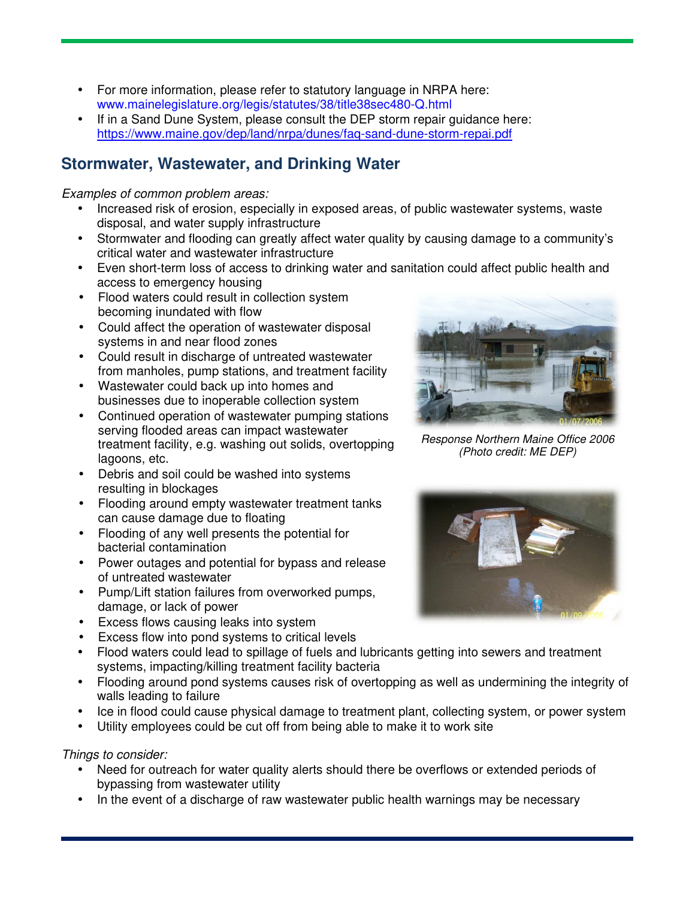- For more information, please refer to statutory language in NRPA here: www.mainelegislature.org/legis/statutes/38/title38sec480-Q.html
- If in a Sand Dune System, please consult the DEP storm repair guidance here: https://www.maine.gov/dep/land/nrpa/dunes/faq-sand-dune-storm-repai.pdf

## **Stormwater, Wastewater, and Drinking Water**

*Examples of common problem areas:* 

- Increased risk of erosion, especially in exposed areas, of public wastewater systems, waste disposal, and water supply infrastructure
- Stormwater and flooding can greatly affect water quality by causing damage to a community's critical water and wastewater infrastructure
- Even short-term loss of access to drinking water and sanitation could affect public health and access to emergency housing
- Flood waters could result in collection system becoming inundated with flow
- Could affect the operation of wastewater disposal systems in and near flood zones
- Could result in discharge of untreated wastewater from manholes, pump stations, and treatment facility
- Wastewater could back up into homes and businesses due to inoperable collection system
- Continued operation of wastewater pumping stations serving flooded areas can impact wastewater treatment facility, e.g. washing out solids, overtopping lagoons, etc.
- Debris and soil could be washed into systems resulting in blockages
- Flooding around empty wastewater treatment tanks can cause damage due to floating
- Flooding of any well presents the potential for bacterial contamination
- Power outages and potential for bypass and release of untreated wastewater
- Pump/Lift station failures from overworked pumps, damage, or lack of power
- Excess flows causing leaks into system
- Excess flow into pond systems to critical levels
- Flood waters could lead to spillage of fuels and lubricants getting into sewers and treatment systems, impacting/killing treatment facility bacteria
- Flooding around pond systems causes risk of overtopping as well as undermining the integrity of walls leading to failure
- Ice in flood could cause physical damage to treatment plant, collecting system, or power system
- Utility employees could be cut off from being able to make it to work site

*Things to consider:* 

- Need for outreach for water quality alerts should there be overflows or extended periods of bypassing from wastewater utility
- In the event of a discharge of raw wastewater public health warnings may be necessary



*Response Northern Maine Office 2006 (Photo credit: ME DEP)*

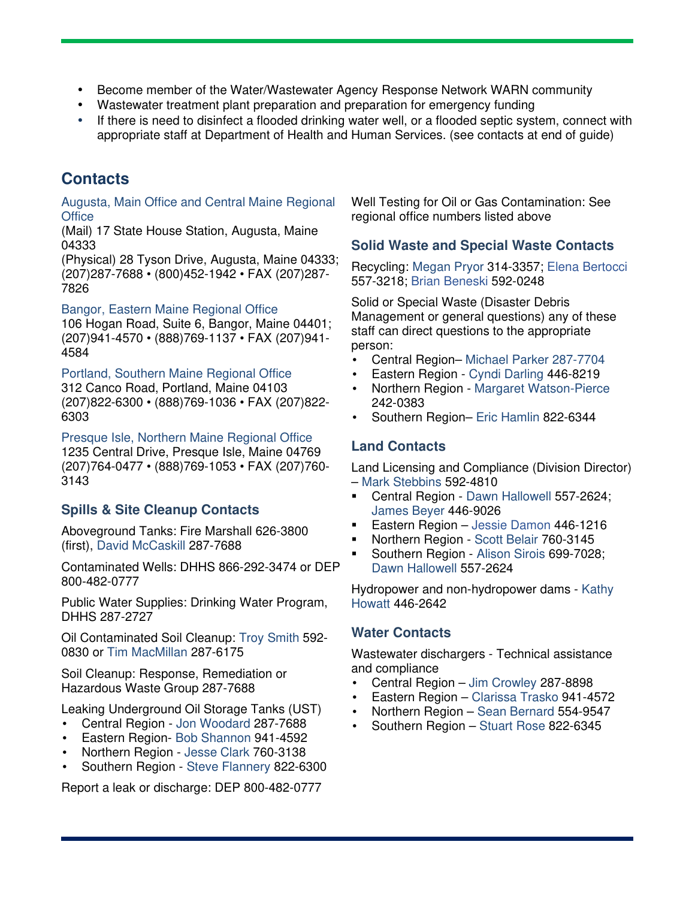- Become member of the Water/Wastewater Agency Response Network WARN community
- Wastewater treatment plant preparation and preparation for emergency funding
- If there is need to disinfect a flooded drinking water well, or a flooded septic system, connect with appropriate staff at Department of Health and Human Services. (see contacts at end of guide)

## **Contacts**

Augusta, Main Office and Central Maine Regional **Office** 

(Mail) 17 State House Station, Augusta, Maine 04333

(Physical) 28 Tyson Drive, Augusta, Maine 04333; (207)287-7688 • (800)452-1942 • FAX (207)287- 7826

#### Bangor, Eastern Maine Regional Office

106 Hogan Road, Suite 6, Bangor, Maine 04401; (207)941-4570 • (888)769-1137 • FAX (207)941- 4584

Portland, Southern Maine Regional Office 312 Canco Road, Portland, Maine 04103 (207)822-6300 • (888)769-1036 • FAX (207)822- 6303

Presque Isle, Northern Maine Regional Office 1235 Central Drive, Presque Isle, Maine 04769 (207)764-0477 • (888)769-1053 • FAX (207)760- 3143

### **Spills & Site Cleanup Contacts**

Aboveground Tanks: Fire Marshall 626-3800 (first), David McCaskill 287-7688

Contaminated Wells: DHHS 866-292-3474 or DEP 800-482-0777

Public Water Supplies: Drinking Water Program, DHHS 287-2727

Oil Contaminated Soil Cleanup: Troy Smith 592- 0830 or Tim MacMillan 287-6175

Soil Cleanup: Response, Remediation or Hazardous Waste Group 287-7688

Leaking Underground Oil Storage Tanks (UST)

- Central Region Jon Woodard 287-7688
- Eastern Region- Bob Shannon 941-4592
- Northern Region Jesse Clark 760-3138
- Southern Region Steve Flannery 822-6300

Report a leak or discharge: DEP 800-482-0777

Well Testing for Oil or Gas Contamination: See regional office numbers listed above

### **Solid Waste and Special Waste Contacts**

Recycling: Megan Pryor 314-3357; Elena Bertocci 557-3218; Brian Beneski 592-0248

Solid or Special Waste (Disaster Debris Management or general questions) any of these staff can direct questions to the appropriate person:

- Central Region– Michael Parker 287-7704
- Eastern Region Cyndi Darling 446-8219
- Northern Region Margaret Watson-Pierce 242-0383
- Southern Region– Eric Hamlin 822-6344

### **Land Contacts**

Land Licensing and Compliance (Division Director) – Mark Stebbins 592-4810

- **Central Region Dawn Hallowell 557-2624;** James Beyer 446-9026
- Eastern Region Jessie Damon 446-1216
- Northern Region Scott Belair 760-3145
- Southern Region Alison Sirois 699-7028; Dawn Hallowell 557-2624

Hydropower and non-hydropower dams - Kathy Howatt 446-2642

### **Water Contacts**

Wastewater dischargers - Technical assistance and compliance

- Central Region Jim Crowley 287-8898
- Eastern Region Clarissa Trasko 941-4572
- Northern Region Sean Bernard 554-9547
- Southern Region Stuart Rose 822-6345